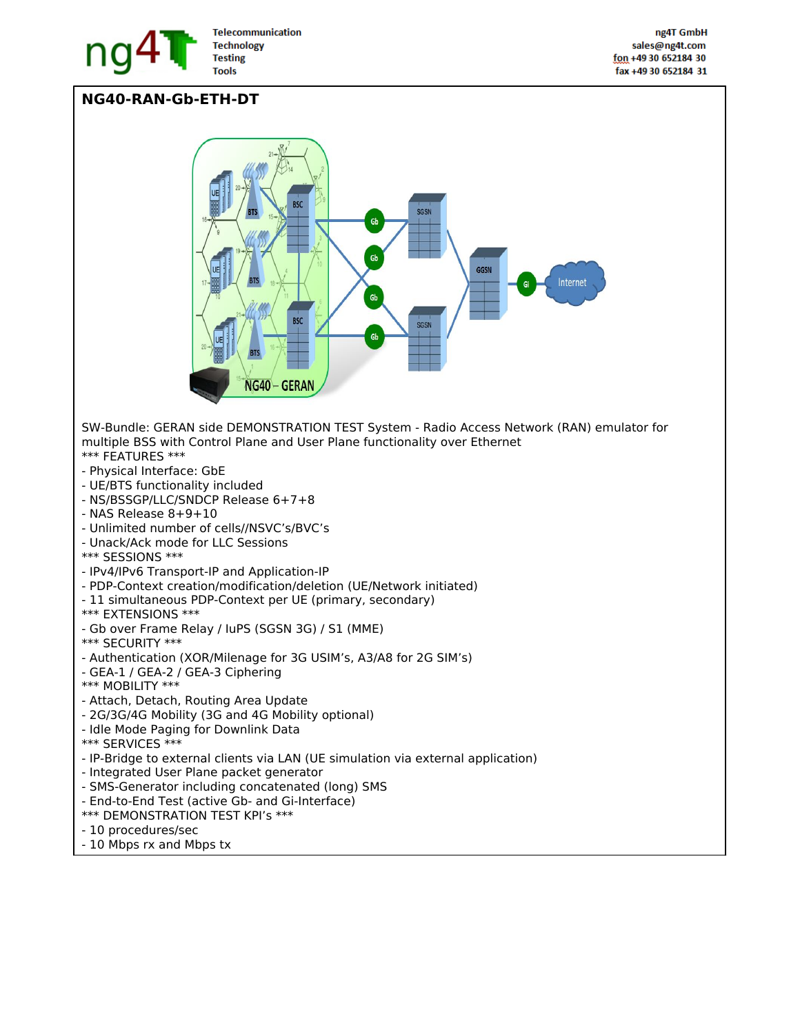

## **NG40-RAN-Gb-ETH-DT**

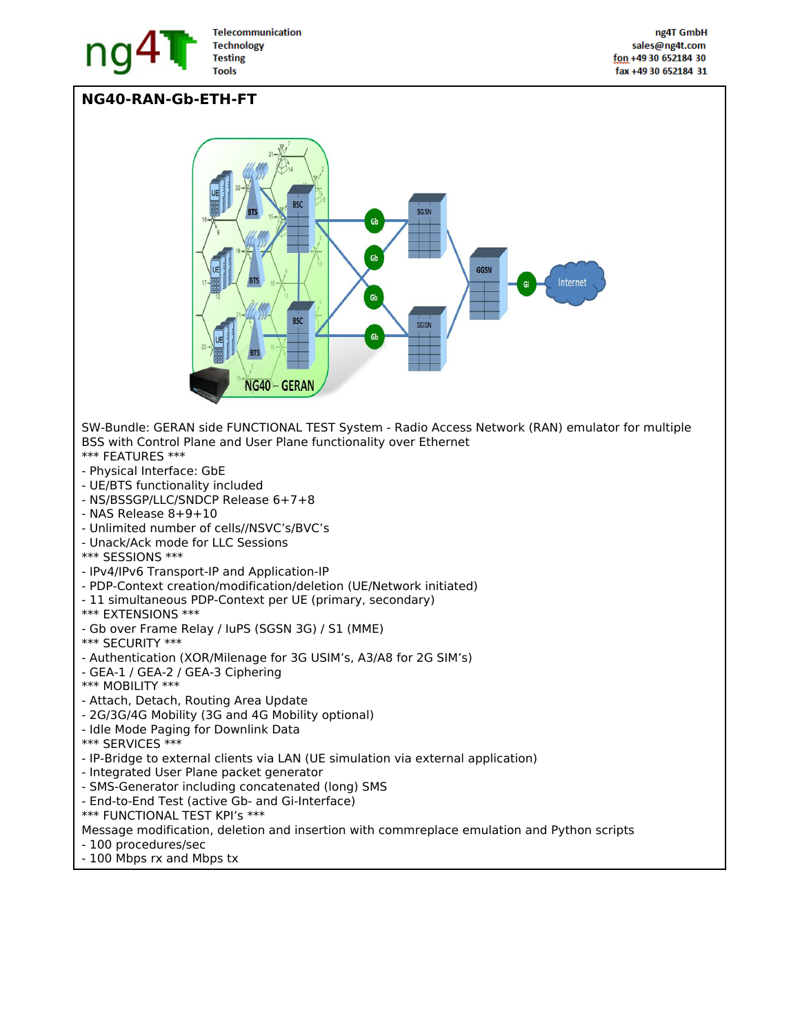

## **NG40-RAN-Gb-ETH-FT**